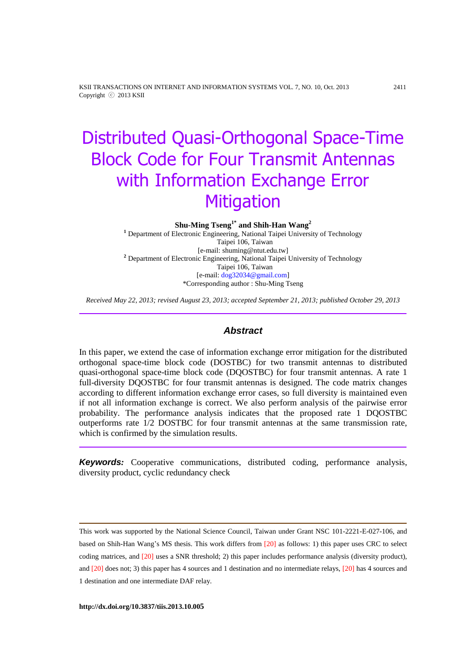KSII TRANSACTIONS ON INTERNET AND INFORMATION SYSTEMS VOL. 7, NO. 10, Oct. 2013 2411 Copyright ⓒ 2013 KSII

# Distributed Quasi-Orthogonal Space-Time Block Code for Four Transmit Antennas with Information Exchange Error **Mitigation**

**Shu-Ming Tseng1\* and Shih-Han Wang<sup>2</sup>**

**<sup>1</sup>** Department of Electronic Engineering*,* National Taipei University of Technology Taipei 106, Taiwan [e-mail: shuming@ntut.edu.tw] **<sup>2</sup>** Department of Electronic Engineering*,* National Taipei University of Technology Taipei 106, Taiwan [e-mail[: dog32034@gmail.com\]](mailto:dog32034@hotmail.tw) \*Corresponding author : Shu-Ming Tseng

*Received May 22, 2013; revised August 23, 2013; accepted September 21, 2013; published October 29, 2013*

## *Abstract*

In this paper, we extend the case of information exchange error mitigation for the distributed orthogonal space-time block code (DOSTBC) for two transmit antennas to distributed quasi-orthogonal space-time block code (DQOSTBC) for four transmit antennas. A rate 1 full-diversity DQOSTBC for four transmit antennas is designed. The code matrix changes according to different information exchange error cases, so full diversity is maintained even if not all information exchange is correct. We also perform analysis of the pairwise error probability. The performance analysis indicates that the proposed rate 1 DQOSTBC outperforms rate 1/2 DOSTBC for four transmit antennas at the same transmission rate, which is confirmed by the simulation results.

*Keywords:* Cooperative communications, distributed coding, performance analysis, diversity product, cyclic redundancy check

This work was supported by the National Science Council, Taiwan under Grant NSC 101-2221-E-027-106, and based on Shih-Han Wang's MS thesis. This work differs from [20] as follows: 1) this paper uses CRC to select coding matrices, and [20] uses a SNR threshold; 2) this paper includes performance analysis (diversity product), and [20] does not; 3) this paper has 4 sources and 1 destination and no intermediate relays, [20] has 4 sources and 1 destination and one intermediate DAF relay.

**http://dx.doi.org/10.3837/tiis.2013.10.005**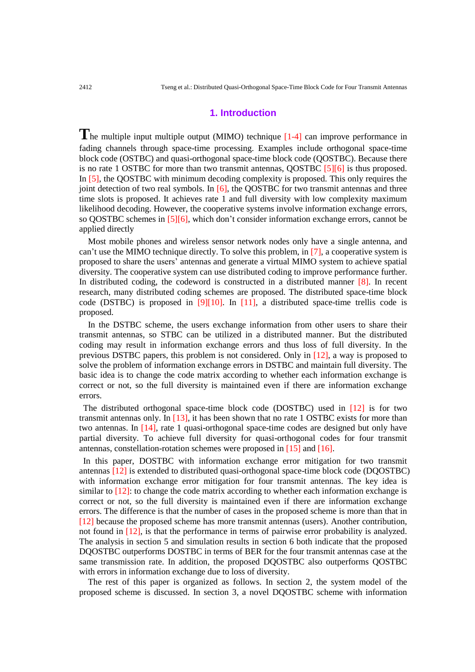#### **1. Introduction**

**T**he multiple input multiple output (MIMO) technique [1-4] can improve performance in fading channels through space-time processing. Examples include orthogonal space-time block code (OSTBC) and quasi-orthogonal space-time block code (QOSTBC). Because there is no rate 1 OSTBC for more than two transmit antennas, QOSTBC [5][6] is thus proposed. In [5], the QOSTBC with minimum decoding complexity is proposed. This only requires the joint detection of two real symbols. In  $[6]$ , the QOSTBC for two transmit antennas and three time slots is proposed. It achieves rate 1 and full diversity with low complexity maximum likelihood decoding. However, the cooperative systems involve information exchange errors, so QOSTBC schemes in [5][6], which don't consider information exchange errors, cannot be applied directly

Most mobile phones and wireless sensor network nodes only have a single antenna, and can't use the MIMO technique directly. To solve this problem, in [7], a cooperative system is proposed to share the users' antennas and generate a virtual MIMO system to achieve spatial diversity. The cooperative system can use distributed coding to improve performance further. In distributed coding, the codeword is constructed in a distributed manner [8]. In recent research, many distributed coding schemes are proposed. The distributed space-time block code (DSTBC) is proposed in [9][10]. In [11], a distributed space-time trellis code is proposed.

In the DSTBC scheme, the users exchange information from other users to share their transmit antennas, so STBC can be utilized in a distributed manner. But the distributed coding may result in information exchange errors and thus loss of full diversity. In the previous DSTBC papers, this problem is not considered. Only in [12], a way is proposed to solve the problem of information exchange errors in DSTBC and maintain full diversity. The basic idea is to change the code matrix according to whether each information exchange is correct or not, so the full diversity is maintained even if there are information exchange errors.

The distributed orthogonal space-time block code (DOSTBC) used in [12] is for two transmit antennas only. In [13], it has been shown that no rate 1 OSTBC exists for more than two antennas. In [14], rate 1 quasi-orthogonal space-time codes are designed but only have partial diversity. To achieve full diversity for quasi-orthogonal codes for four transmit antennas, constellation-rotation schemes were proposed in [15] and [16].

In this paper, DOSTBC with information exchange error mitigation for two transmit antennas [12] is extended to distributed quasi-orthogonal space-time block code (DQOSTBC) with information exchange error mitigation for four transmit antennas. The key idea is similar to  $[12]$ : to change the code matrix according to whether each information exchange is correct or not, so the full diversity is maintained even if there are information exchange errors. The difference is that the number of cases in the proposed scheme is more than that in [12] because the proposed scheme has more transmit antennas (users). Another contribution, not found in [12], is that the performance in terms of pairwise error probability is analyzed. The analysis in section 5 and simulation results in section 6 both indicate that the proposed DQOSTBC outperforms DOSTBC in terms of BER for the four transmit antennas case at the same transmission rate. In addition, the proposed DQOSTBC also outperforms QOSTBC with errors in information exchange due to loss of diversity.

The rest of this paper is organized as follows. In section 2, the system model of the proposed scheme is discussed. In section 3, a novel DQOSTBC scheme with information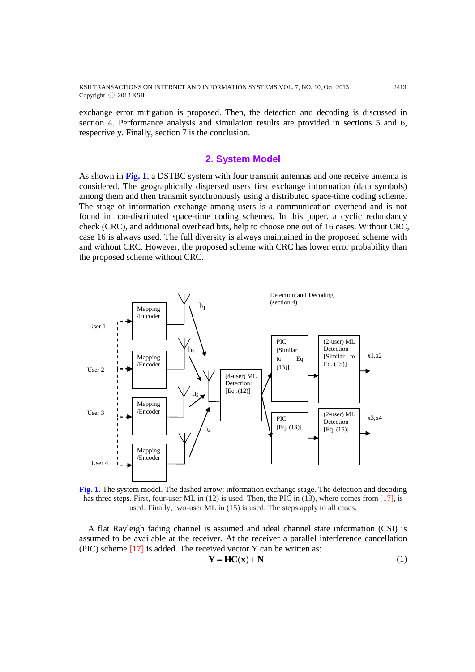KSII TRANSACTIONS ON INTERNET AND INFORMATION SYSTEMS VOL. 7, NO. 10, Oct. 2013 2413 Copyright ⓒ 2013 KSII

exchange error mitigation is proposed. Then, the detection and decoding is discussed in section 4. Performance analysis and simulation results are provided in sections 5 and 6, respectively. Finally, section 7 is the conclusion.

#### **2. System Model**

As shown in **Fig. 1**, a DSTBC system with four transmit antennas and one receive antenna is considered. The geographically dispersed users first exchange information (data symbols) among them and then transmit synchronously using a distributed space-time coding scheme. The stage of information exchange among users is a communication overhead and is not found in non-distributed space-time coding schemes. In this paper, a cyclic redundancy check (CRC), and additional overhead bits, help to choose one out of 16 cases. Without CRC, case 16 is always used. The full diversity is always maintained in the proposed scheme with and without CRC. However, the proposed scheme with CRC has lower error probability than the proposed scheme without CRC.



**Fig. 1.** The system model. The dashed arrow: information exchange stage. The detection and decoding has three steps. First, four-user ML in (12) is used. Then, the PIC in (13), where comes from [17], is used. Finally, two-user ML in (15) is used. The steps apply to all cases.

A flat Rayleigh fading channel is assumed and ideal channel state information (CSI) is assumed to be available at the receiver. At the receiver a parallel interference cancellation (PIC) scheme  $[17]$  is added. The received vector Y can be written as:

$$
Y = HC(x) + N \tag{1}
$$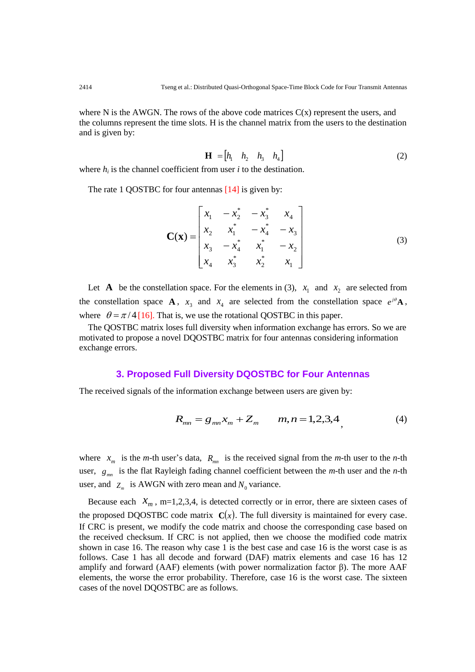where N is the AWGN. The rows of the above code matrices  $C(x)$  represent the users, and the columns represent the time slots. H is the channel matrix from the users to the destination and is given by:

$$
\mathbf{H} = \begin{bmatrix} h_1 & h_2 & h_3 & h_4 \end{bmatrix} \tag{2}
$$

where  $h_i$  is the channel coefficient from user  $i$  to the destination.

The rate 1 OOSTBC for four antennas [14] is given by:

$$
\mathbf{C}(\mathbf{x}) = \begin{bmatrix} x_1 & -x_2^* & -x_3^* & x_4 \\ x_2 & x_1^* & -x_4^* & -x_3 \\ x_3 & -x_4^* & x_1^* & -x_2 \\ x_4 & x_3^* & x_2^* & x_1 \end{bmatrix}
$$
(3)

Let **A** be the constellation space. For the elements in (3),  $x_1$  and  $x_2$  are selected from the constellation space **A**,  $x_3$  and  $x_4$  are selected from the constellation space  $e^{i\theta}$ **A**, where  $\theta = \pi/4$  [16]. That is, we use the rotational QOSTBC in this paper.

The QOSTBC matrix loses full diversity when information exchange has errors. So we are motivated to propose a novel DQOSTBC matrix for four antennas considering information exchange errors.

#### **3. Proposed Full Diversity DQOSTBC for Four Antennas**

The received signals of the information exchange between users are given by:

$$
R_{mn} = g_{mn}x_m + Z_m \qquad m, n = 1, 2, 3, 4
$$
 (4)

where  $x_m$  is the *m*-th user's data,  $R_{mn}$  is the received signal from the *m*-th user to the *n*-th user,  $g_{mn}$  is the flat Rayleigh fading channel coefficient between the *m*-th user and the *n*-th user, and  $Z_m$  is AWGN with zero mean and  $N_0$  variance.

Because each  $X_m$ , m=1,2,3,4, is detected correctly or in error, there are sixteen cases of the proposed DQOSTBC code matrix  $C(x)$ . The full diversity is maintained for every case. If CRC is present, we modify the code matrix and choose the corresponding case based on the received checksum. If CRC is not applied, then we choose the modified code matrix shown in case 16. The reason why case 1 is the best case and case 16 is the worst case is as follows. Case 1 has all decode and forward (DAF) matrix elements and case 16 has 12 amplify and forward (AAF) elements (with power normalization factor β). The more AAF elements, the worse the error probability. Therefore, case 16 is the worst case. The sixteen cases of the novel DQOSTBC are as follows.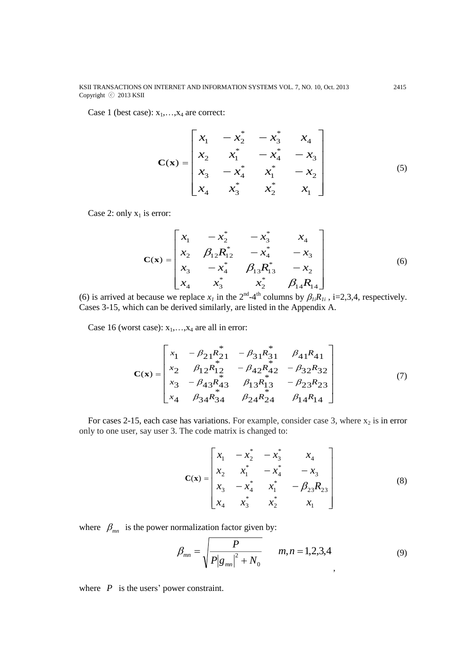KSII TRANSACTIONS ON INTERNET AND INFORMATION SYSTEMS VOL. 7, NO. 10, Oct. 2013 2415 Copyright ⓒ 2013 KSII

Case 1 (best case):  $x_1, \ldots, x_4$  are correct:

$$
\mathbf{C}(\mathbf{x}) = \begin{bmatrix} x_1 & -x_2^* & -x_3^* & x_4 \\ x_2 & x_1^* & -x_4^* & -x_3 \\ x_3 & -x_4^* & x_1^* & -x_2 \\ x_4 & x_3^* & x_2^* & x_1 \end{bmatrix}
$$
(5)

Case 2: only  $x_1$  is error:

$$
\mathbf{C}(\mathbf{x}) = \begin{bmatrix} x_1 & -x_2^* & -x_3^* & x_4 \\ x_2 & \beta_{12} R_{12}^* & -x_4^* & -x_3 \\ x_3 & -x_4^* & \beta_{13} R_{13}^* & -x_2 \\ x_4 & x_3^* & x_2^* & \beta_{14} R_{14} \end{bmatrix}
$$
(6)

(6) is arrived at because we replace  $x_I$  in the  $2^{nd} - 4^{th}$  columns by  $\beta_{Ii}R_{Ii}$ , i=2,3,4, respectively. Cases 3-15, which can be derived similarly, are listed in the Appendix A.

Case 16 (worst case):  $x_1, \ldots, x_4$  are all in error:

$$
\mathbf{C}(\mathbf{x}) = \begin{bmatrix} x_1 & -\beta_{21} R_{21}^* & -\beta_{31} R_{31}^* & \beta_{41} R_{41} \\ x_2 & \beta_{12} R_{12}^* & -\beta_{42} R_{42}^* & -\beta_{32} R_{32} \\ x_3 & -\beta_{43} R_{43}^* & \beta_{13} R_{13}^* & -\beta_{23} R_{23} \\ x_4 & \beta_{34} R_{34}^* & \beta_{24} R_{24}^* & \beta_{14} R_{14} \end{bmatrix} \tag{7}
$$

For cases 2-15, each case has variations. For example, consider case 3, where  $x_2$  is in error only to one user, say user 3. The code matrix is changed to:

$$
\mathbf{C}(\mathbf{x}) = \begin{bmatrix} x_1 & -x_2^* & -x_3^* & x_4 \\ x_2 & x_1^* & -x_4^* & -x_3 \\ x_3 & -x_4^* & x_1^* & -\beta_{23}R_{23} \\ x_4 & x_3^* & x_2^* & x_1 \end{bmatrix}
$$
(8)

where  $\beta_{mn}$  is the power normalization factor given by:

$$
\beta_{mn} = \sqrt{\frac{P}{P|g_{mn}|^2 + N_0}} \qquad m, n = 1, 2, 3, 4
$$
\n(9)

where  $P$  is the users' power constraint.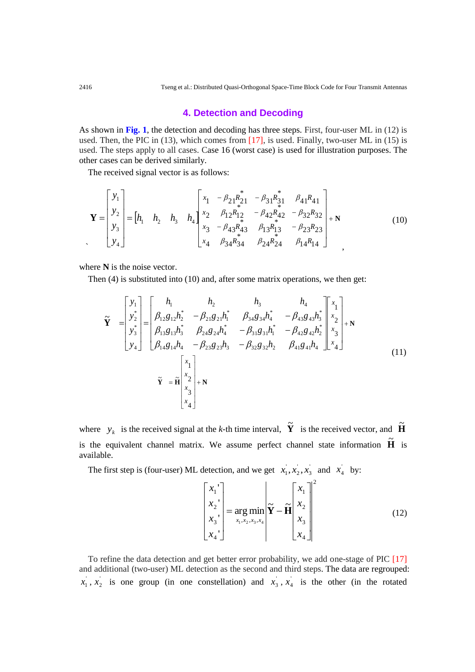## **4. Detection and Decoding**

As shown in **Fig. 1**, the detection and decoding has three steps. First, four-user ML in (12) is used. Then, the PIC in  $(13)$ , which comes from  $[17]$ , is used. Finally, two-user ML in  $(15)$  is used. The steps apply to all cases. Case 16 (worst case) is used for illustration purposes. The other cases can be derived similarly.

The received signal vector is as follows:

$$
\mathbf{Y} = \begin{bmatrix} y_1 \\ y_2 \\ y_3 \\ y_4 \end{bmatrix} = \begin{bmatrix} h_1 & h_2 & h_3 & h_4 \end{bmatrix} \begin{bmatrix} x_1 & -\beta_{21}R_{21}^* & -\beta_{31}R_{31}^* & \beta_{41}R_{41} \\ x_2 & \beta_{12}R_{12}^* & -\beta_{42}R_{42}^* & -\beta_{32}R_{32} \\ x_3 & -\beta_{43}R_{43}^* & \beta_{13}R_{13}^* & -\beta_{23}R_{23} \\ x_4 & \beta_{34}R_{34}^* & \beta_{24}R_{24}^* & \beta_{14}R_{14} \end{bmatrix} + \mathbf{N} \tag{10}
$$

where **N** is the noise vector.

Then (4) is substituted into (10) and, after some matrix operations, we then get:

$$
\widetilde{\mathbf{Y}} = \begin{bmatrix} y_1 \\ y_2 \\ y_3 \\ y_4 \end{bmatrix} = \begin{bmatrix} h_1 & h_2 & h_3 & h_4 \\ \beta_{12}g_{12}h_2^* & -\beta_{21}g_{21}h_1^* & \beta_{34}g_{34}h_4^* & -\beta_{43}g_{43}h_3^* \\ \beta_{13}g_{13}h_3^* & \beta_{24}g_{24}h_4^* & -\beta_{31}g_{31}h_1^* & -\beta_{42}g_{42}h_2^* \\ \beta_{14}g_{14}h_4 & -\beta_{23}g_{23}h_3 & -\beta_{32}g_{32}h_2 & \beta_{41}g_{41}h_4 \end{bmatrix} \begin{bmatrix} x_1 \\ x_2 \\ x_3 \\ x_4 \end{bmatrix} + \mathbf{N}
$$
\n
$$
\widetilde{\mathbf{Y}} = \widetilde{\mathbf{H}} \begin{bmatrix} x_1 \\ x_2 \\ x_3 \\ x_4 \end{bmatrix} + \mathbf{N}
$$
\n(11)

where  $y_k$  is the received signal at the *k*-th time interval,  $\tilde{Y}$  is the received vector, and  $\tilde{H}$ is the equivalent channel matrix. We assume perfect channel state information  $\tilde{H}$  is available.

The first step is (four-user) ML detection, and we get  $x_1, x_2, x_3$ ' 2  $x_1, x_2, x_3$  and  $x_4$  by:

$$
\begin{bmatrix} x_1 \\ x_2 \\ x_3 \\ x_4 \end{bmatrix} = \arg\min_{x_1, x_2, x_3, x_4} \widetilde{\mathbf{Y}} - \widetilde{\mathbf{H}} \begin{bmatrix} x_1 \\ x_2 \\ x_3 \\ x_4 \end{bmatrix}^2
$$
(12)

To refine the data detection and get better error probability, we add one-stage of PIC [17] and additional (two-user) ML detection as the second and third steps. The data are regrouped:  $x_1, x_2$  is one group (in one constellation) and  $x_3, x_4$  is the other (in the rotated

 $\ddot{\phantom{0}}$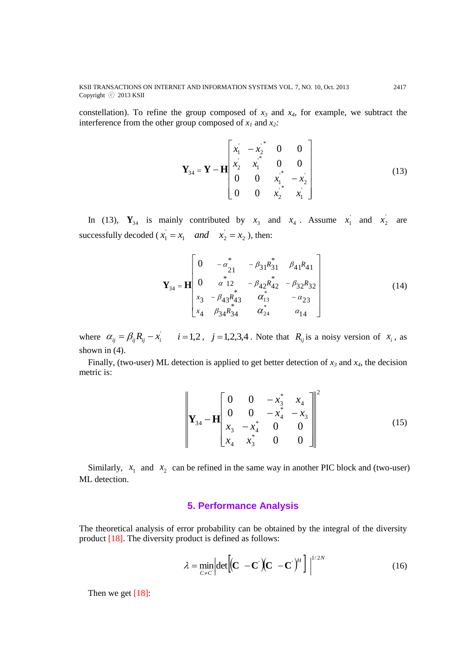KSII TRANSACTIONS ON INTERNET AND INFORMATION SYSTEMS VOL. 7, NO. 10, Oct. 2013 2417 Copyright ⓒ 2013 KSII

constellation). To refine the group composed of  $x_3$  and  $x_4$ , for example, we subtract the interference from the other group composed of  $x_1$  and  $x_2$ *:* 

$$
\mathbf{Y}_{34} = \mathbf{Y} - \mathbf{H} \begin{bmatrix} x_1 & -x_2 \\ x_2 & x_1^* & 0 & 0 \\ 0 & 0 & x_1^* & -x_2 \\ 0 & 0 & x_2^* & x_1 \end{bmatrix}
$$
 (13)

In (13),  $\mathbf{Y}_{34}$  is mainly contributed by  $x_3$  and  $x_4$ . Assume  $x_1$  and  $x_2$  are successfully decoded ( $x_1 = x_1$  and  $x_2 = x_2$  $\int_1$  and  $x_2$  $x_1 = x_1$  *and*  $x_2 = x_2$ , then:

$$
\mathbf{Y}_{34} = \mathbf{H} \begin{bmatrix} 0 & -\alpha_{21}^* & -\beta_{31} R_{31}^* & \beta_{41} R_{41} \\ 0 & \alpha_{12}^* & -\beta_{42} R_{42}^* & -\beta_{32} R_{32} \\ x_3 & -\beta_{43} R_{43}^* & \alpha_{13}^* & -\alpha_{23} \\ x_4 & \beta_{34} R_{34}^* & \alpha_{24}^* & \alpha_{14} \end{bmatrix} \tag{14}
$$

where  $\alpha_{ij} = \beta_{ij} R_{ij} - x_i$   $i = 1, 2, j = 1, 2, 3, 4$ . Note that  $R_{ij}$  is a noisy version of  $x_i$ , as shown in  $(4)$ .

Finally, (two-user) ML detection is applied to get better detection of  $x_3$  and  $x_4$ , the decision metric is:

$$
\left\| \mathbf{Y}_{34} - \mathbf{H} \begin{bmatrix} 0 & 0 & -x_3^* & x_4 \\ 0 & 0 & -x_4^* & -x_3 \\ x_3 & -x_4^* & 0 & 0 \\ x_4 & x_3^* & 0 & 0 \end{bmatrix} \right\|^2
$$
(15)

Similarly,  $x_1$  and  $x_2$  can be refined in the same way in another PIC block and (two-user) ML detection.

### **5. Performance Analysis**

The theoretical analysis of error probability can be obtained by the integral of the diversity product [18]. The diversity product is defined as follows:

$$
\lambda = \min_{C \neq C} \left| \det \left[ (\mathbf{C} - \mathbf{C}^{\cdot})(\mathbf{C} - \mathbf{C}^{\cdot})^H \right] \right|^{1/2N}
$$
(16)

Then we get  $[18]$ :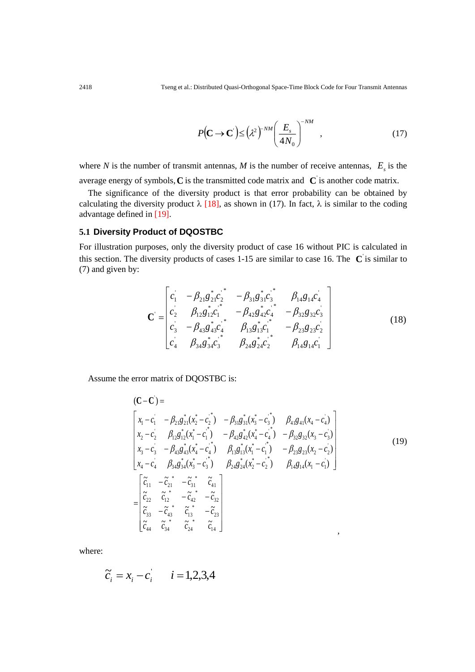$$
P\left(\mathbf{C} \to \mathbf{C}\right) \le \left(\lambda^2\right)^{-NM} \left(\frac{E_s}{4N_0}\right)^{-NM},\tag{17}
$$

where *N* is the number of transmit antennas, *M* is the number of receive antennas,  $E<sub>s</sub>$  is the average energy of symbols,  $C$  is the transmitted code matrix and  $C$  is another code matrix.

The significance of the diversity product is that error probability can be obtained by calculating the diversity product  $\lambda$  [18], as shown in (17). In fact,  $\lambda$  is similar to the coding advantage defined in [19].

#### **5.1 Diversity Product of DQOSTBC**

For illustration purposes, only the diversity product of case 16 without PIC is calculated in this section. The diversity products of cases  $1-15$  are similar to case 16. The  $\mathbf{C}$  is similar to (7) and given by:

$$
\mathbf{C} = \begin{bmatrix} c_1 & -\beta_{21}g_{21}^{*}c_2^{*} & -\beta_{31}g_{31}^{*}c_3^{*} & \beta_{14}g_{14}c_4 \\ c_2 & \beta_{12}g_{12}^{*}c_1^{*} & -\beta_{42}g_{42}^{*}c_4^{*} & -\beta_{32}g_{32}c_3 \\ c_3 & -\beta_{43}g_{43}^{*}c_4^{*} & \beta_{13}g_{13}^{*}c_1^{*} & -\beta_{23}g_{23}c_2 \\ c_4^{*} & \beta_{34}g_{34}^{*}c_3^{*} & \beta_{24}g_{24}^{*}c_2^{*} & \beta_{14}g_{14}c_1 \end{bmatrix}
$$
(18)

Assume the error matrix of DQOSTBC is:

$$
(\mathbf{C} - \mathbf{C}) = \begin{bmatrix} x_1 - c_1 & -\beta_{21}g_{21}^*(x_2^* - c_2^*) & -\beta_{31}g_{31}^*(x_3^* - c_3^*) & \beta_{41}g_{41}(x_4 - c_4) \\ x_2 - c_2 & \beta_{12}g_{12}^*(x_1^* - c_1^*) & -\beta_{42}g_{42}^*(x_4^* - c_4^*) & -\beta_{32}g_{32}(x_3 - c_3) \\ x_3 - c_3 & -\beta_{43}g_{43}^*(x_4^* - c_4^*) & \beta_{13}g_{13}^*(x_1^* - c_1^*) & -\beta_{23}g_{23}(x_2 - c_2) \\ x_4 - c_4 & \beta_{34}g_{34}^*(x_3^* - c_3^*) & \beta_{24}g_{24}^*(x_2^* - c_2^*) & \beta_{14}g_{14}(x_1 - c_1) \end{bmatrix} \tag{19}
$$
  

$$
= \begin{bmatrix} \tilde{c}_{11} & -\tilde{c}_{21}^* & -\tilde{c}_{31}^* & \tilde{c}_{41} \\ \tilde{c}_{22} & \tilde{c}_{12}^* & -\tilde{c}_{42}^* & -\tilde{c}_{32} \\ \tilde{c}_{33} & -\tilde{c}_{43}^* & \tilde{c}_{13}^* & -\tilde{c}_{23} \\ \tilde{c}_{44} & \tilde{c}_{34}^* & \tilde{c}_{24}^* & \tilde{c}_{14} \end{bmatrix}
$$

where:

$$
\tilde{c}_i = x_i - c_i
$$
  $i = 1, 2, 3, 4$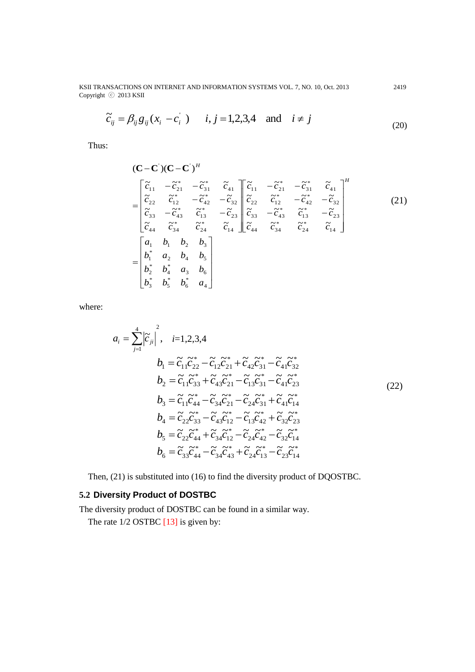KSII TRANSACTIONS ON INTERNET AND INFORMATION SYSTEMS VOL. 7, NO. 10, Oct. 2013 2419 Copyright ⓒ 2013 KSII

$$
\widetilde{c}_{ij} = \beta_{ij} g_{ij} (x_i - c_i) \qquad i, j = 1, 2, 3, 4 \quad \text{and} \quad i \neq j \tag{20}
$$

Thus:

$$
(\mathbf{C}-\mathbf{C}^{\prime})(\mathbf{C}-\mathbf{C}^{\prime})^{H}
$$
\n
$$
= \begin{bmatrix} \tilde{c}_{11} & -\tilde{c}_{21}^{*} & -\tilde{c}_{31}^{*} & \tilde{c}_{41} \\ \tilde{c}_{22} & \tilde{c}_{12}^{*} & -\tilde{c}_{42}^{*} & -\tilde{c}_{32} \\ \tilde{c}_{33} & -\tilde{c}_{43}^{*} & \tilde{c}_{13}^{*} & -\tilde{c}_{23} \\ \tilde{c}_{44} & \tilde{c}_{34}^{*} & \tilde{c}_{24}^{*} & \tilde{c}_{14} \end{bmatrix} \begin{bmatrix} \tilde{c}_{11} & -\tilde{c}_{21}^{*} & -\tilde{c}_{31}^{*} & \tilde{c}_{41} \\ \tilde{c}_{22} & \tilde{c}_{12}^{*} & -\tilde{c}_{42}^{*} & -\tilde{c}_{32} \\ \tilde{c}_{33} & -\tilde{c}_{43}^{*} & \tilde{c}_{13}^{*} & -\tilde{c}_{23} \\ \tilde{c}_{44} & \tilde{c}_{34}^{*} & \tilde{c}_{24}^{*} & \tilde{c}_{14} \end{bmatrix} \begin{bmatrix} \tilde{c}_{11} & -\tilde{c}_{21}^{*} & -\tilde{c}_{31}^{*} & \tilde{c}_{41} \\ \tilde{c}_{31} & -\tilde{c}_{43}^{*} & \tilde{c}_{13}^{*} & -\tilde{c}_{23} \\ \tilde{c}_{44}^{*} & \tilde{c}_{34}^{*} & \tilde{c}_{44}^{*} & \tilde{c}_{44}^{*} \end{bmatrix}
$$
\n
$$
= \begin{bmatrix} a_{1} & b_{1} & b_{2} & b_{3} \\ b_{1}^{*} & a_{2} & b_{4} & b_{5} \\ b_{2}^{*} & b_{4}^{*} & a_{3} & b_{6} \\ b_{3}^{*} & b_{5}^{*} & b_{6}^{*} & a_{4} \end{bmatrix}
$$
\n(21)

where:

$$
a_{i} = \sum_{j=1}^{4} |\tilde{c}_{ji}|^{2}, \quad i=1,2,3,4
$$
\n
$$
b_{1} = \tilde{c}_{11}\tilde{c}_{22}^{*} - \tilde{c}_{12}\tilde{c}_{21}^{*} + \tilde{c}_{42}\tilde{c}_{31}^{*} - \tilde{c}_{41}\tilde{c}_{32}^{*}
$$
\n
$$
b_{2} = \tilde{c}_{11}\tilde{c}_{33}^{*} + \tilde{c}_{43}\tilde{c}_{21}^{*} - \tilde{c}_{13}\tilde{c}_{31}^{*} - \tilde{c}_{41}\tilde{c}_{23}^{*}
$$
\n
$$
b_{3} = \tilde{c}_{11}\tilde{c}_{44}^{*} - \tilde{c}_{34}\tilde{c}_{21}^{*} - \tilde{c}_{24}\tilde{c}_{31}^{*} + \tilde{c}_{41}\tilde{c}_{14}^{*}
$$
\n
$$
b_{4} = \tilde{c}_{22}\tilde{c}_{33}^{*} - \tilde{c}_{43}\tilde{c}_{12}^{*} - \tilde{c}_{13}\tilde{c}_{42}^{*} + \tilde{c}_{32}\tilde{c}_{23}^{*}
$$
\n
$$
b_{5} = \tilde{c}_{22}\tilde{c}_{44}^{*} + \tilde{c}_{34}\tilde{c}_{12}^{*} - \tilde{c}_{24}\tilde{c}_{42}^{*} - \tilde{c}_{32}\tilde{c}_{14}^{*}
$$
\n
$$
b_{6} = \tilde{c}_{33}\tilde{c}_{44}^{*} - \tilde{c}_{34}\tilde{c}_{43}^{*} + \tilde{c}_{24}\tilde{c}_{13}^{*} - \tilde{c}_{23}\tilde{c}_{14}^{*}
$$

Then, (21) is substituted into (16) to find the diversity product of DQOSTBC.

# **5.2 Diversity Product of DOSTBC**

The diversity product of DOSTBC can be found in a similar way.

The rate  $1/2$  OSTBC  $[13]$  is given by: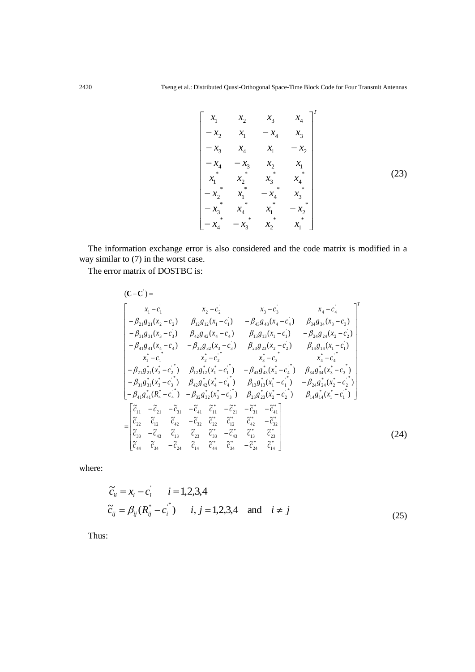$$
\begin{bmatrix} x_1 & x_2 & x_3 & x_4 \\ -x_2 & x_1 & -x_4 & x_3 \\ -x_3 & x_4 & x_1 & -x_2 \\ -x_4 & -x_3 & x_2 & x_1 \\ x_1^* & x_2^* & x_3^* & x_4^* \\ -x_2^* & x_1^* & -x_4^* & x_3^* \\ -x_3^* & x_4^* & x_1^* & -x_2^* \\ -x_4^* & -x_3^* & x_2^* & x_1^* \end{bmatrix} (23)
$$

The information exchange error is also considered and the code matrix is modified in a way similar to (7) in the worst case.

The error matrix of DOSTBC is:

$$
(C-C') = \n\begin{bmatrix}\nx_1 - c_1 & x_2 - c_2 & x_3 - c_3 & x_4 - c_4 \\
-\beta_{21}g_{21}(x_2 - c_2) & \beta_{12}g_{12}(x_1 - c_1) & -\beta_{43}g_{43}(x_4 - c_4) & \beta_{34}g_{34}(x_3 - c_3) \\
-\beta_{31}g_{31}(x_3 - c_3) & \beta_{42}g_{42}(x_4 - c_4) & \beta_{13}g_{13}(x_1 - c_1) & -\beta_{24}g_{24}(x_2 - c_2) \\
-\beta_{41}g_{41}(x_4 - c_4) & -\beta_{32}g_{32}(x_3 - c_3) & \beta_{23}g_{23}(x_2 - c_2) & \beta_{14}g_{14}(x_1 - c_1) \\
x_1^* - c_1^* & x_2^* - c_2^* & x_3^* - c_3^* & x_4^* - c_4^* \\
-\beta_{21}g_{21}^*(x_2^* - c_2^*) & \beta_{12}g_{12}^*(x_1^* - c_1^*) & -\beta_{43}g_{43}^*(x_4^* - c_4^*) & \beta_{34}g_{34}^*(x_3^* - c_3^*) \\
-\beta_{31}g_{31}^*(x_3^* - c_3^*) & \beta_{42}g_{42}^*(x_4^* - c_4^*) & \beta_{13}g_{13}^*(x_1^* - c_1^*) & -\beta_{24}g_{24}^*(x_2^* - c_2^*) \\
-\beta_{41}g_{41}^*(R_4^* - c_4^*) & -\beta_{32}g_{32}^*(x_3^* - c_3^*) & \beta_{23}g_{23}^*(x_2^* - c_2^*) & \beta_{14}g_{14}^*(x_1^* - c_1^*) \\
-\beta_{14}g_{41}^*(R_4^* - c_4^*) & -\beta_{32}g_{32}^*(x_3^* - c_3^*) & \beta_{23}g_{23}^*(x_2^* - c_2^*) & \beta_{14}g_{14}^*(x_1^* - c_1^*) \\
-\beta_{15}g_{41}^*(x_1^* - c
$$

where:

$$
\begin{aligned}\n\widetilde{c}_{ii} &= x_i - c_i \qquad i = 1, 2, 3, 4 \\
\widetilde{c}_{ij} &= \beta_{ij} (R_{ij}^* - c_i^*) \qquad i, j = 1, 2, 3, 4 \quad \text{and} \quad i \neq j\n\end{aligned} \tag{25}
$$

Thus: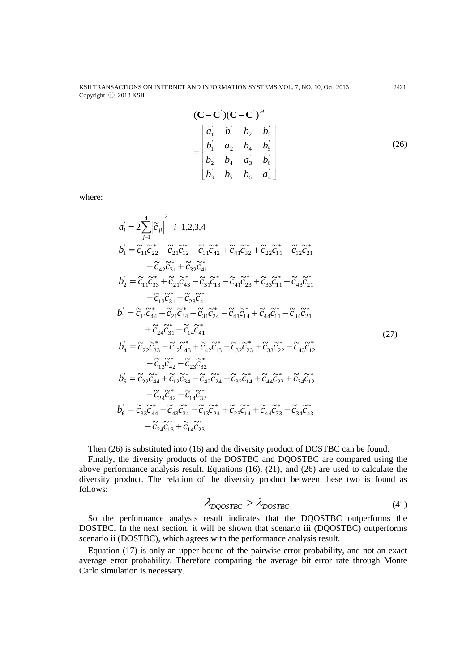KSII TRANSACTIONS ON INTERNET AND INFORMATION SYSTEMS VOL. 7, NO. 10, Oct. 2013 2421 Copyright ⓒ 2013 KSII

$$
(\mathbf{C} - \mathbf{C}) (\mathbf{C} - \mathbf{C})^H
$$
  
= 
$$
\begin{bmatrix} a_1 & b_1 & b_2 & b_3 \\ b_1 & a_2 & b_4 & b_5 \\ b_2 & b_4 & a_3 & b_6 \\ b_3 & b_5 & b_6 & a_4 \end{bmatrix}
$$
 (26)

where:

$$
a_{i} = 2\sum_{j=1}^{4} \left| \tilde{c}_{ji} \right|^{2} i=1,2,3,4
$$
\n
$$
b_{1} = \tilde{c}_{11} \tilde{c}_{22}^{*} - \tilde{c}_{21} \tilde{c}_{12}^{*} - \tilde{c}_{31} \tilde{c}_{42}^{*} + \tilde{c}_{41} \tilde{c}_{32}^{*} + \tilde{c}_{22} \tilde{c}_{11}^{*} - \tilde{c}_{12} \tilde{c}_{21}^{*}
$$
\n
$$
- \tilde{c}_{42} \tilde{c}_{31}^{*} + \tilde{c}_{32} \tilde{c}_{41}^{*}
$$
\n
$$
b_{2} = \tilde{c}_{11} \tilde{c}_{33}^{*} + \tilde{c}_{21} \tilde{c}_{43}^{*} - \tilde{c}_{31} \tilde{c}_{13}^{*} - \tilde{c}_{41} \tilde{c}_{23}^{*} + \tilde{c}_{33} \tilde{c}_{11}^{*} + \tilde{c}_{43} \tilde{c}_{21}^{*}
$$
\n
$$
- \tilde{c}_{13} \tilde{c}_{31}^{*} - \tilde{c}_{23} \tilde{c}_{41}^{*}
$$
\n
$$
b_{3} = \tilde{c}_{11} \tilde{c}_{44}^{*} - \tilde{c}_{21} \tilde{c}_{34}^{*} + \tilde{c}_{31} \tilde{c}_{24}^{*} - \tilde{c}_{41} \tilde{c}_{14}^{*} + \tilde{c}_{44} \tilde{c}_{11}^{*} - \tilde{c}_{34} \tilde{c}_{21}^{*}
$$
\n
$$
+ \tilde{c}_{24} \tilde{c}_{31}^{*} - \tilde{c}_{14} \tilde{c}_{41}^{*}
$$
\n
$$
+ \tilde{c}_{24} \tilde{c}_{31}^{*} - \tilde{c}_{14} \tilde{c}_{41}^{*}
$$
\n
$$
+ \tilde{c}_{13} \tilde{c}_{42}^{*} - \tilde{c}_{23} \tilde{c}_{32}^{*}
$$
\n
$$
+ \tilde{c
$$

Then (26) is substituted into (16) and the diversity product of DOSTBC can be found.

Finally, the diversity products of the DOSTBC and DQOSTBC are compared using the above performance analysis result. Equations (16), (21), and (26) are used to calculate the diversity product. The relation of the diversity product between these two is found as follows:

$$
\lambda_{DQOSTBC} > \lambda_{DOSTBC} \tag{41}
$$

So the performance analysis result indicates that the DQOSTBC outperforms the DOSTBC. In the next section, it will be shown that scenario iii (DQOSTBC) outperforms scenario ii (DOSTBC), which agrees with the performance analysis result.

Equation (17) is only an upper bound of the pairwise error probability, and not an exact average error probability. Therefore comparing the average bit error rate through Monte Carlo simulation is necessary.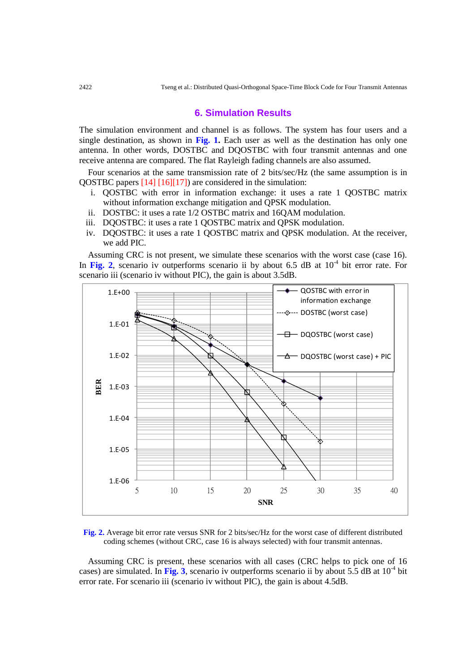#### **6. Simulation Results**

The simulation environment and channel is as follows. The system has four users and a single destination, as shown in **Fig. 1.** Each user as well as the destination has only one antenna. In other words, DOSTBC and DQOSTBC with four transmit antennas and one receive antenna are compared. The flat Rayleigh fading channels are also assumed.

Four scenarios at the same transmission rate of 2 bits/sec/Hz (the same assumption is in QOSTBC papers [14] [16][17]) are considered in the simulation:

- i. QOSTBC with error in information exchange: it uses a rate 1 QOSTBC matrix without information exchange mitigation and QPSK modulation.
- ii. DOSTBC: it uses a rate 1/2 OSTBC matrix and 16QAM modulation.
- iii. DQOSTBC: it uses a rate 1 QOSTBC matrix and QPSK modulation.
- iv. DQOSTBC: it uses a rate 1 QOSTBC matrix and QPSK modulation. At the receiver, we add PIC.

Assuming CRC is not present, we simulate these scenarios with the worst case (case 16). In Fig. 2, scenario iv outperforms scenario ii by about 6.5 dB at  $10<sup>-4</sup>$  bit error rate. For scenario iii (scenario iv without PIC), the gain is about 3.5dB.



**Fig. 2.** Average bit error rate versus SNR for 2 bits/sec/Hz for the worst case of different distributed coding schemes (without CRC, case 16 is always selected) with four transmit antennas.

Assuming CRC is present, these scenarios with all cases (CRC helps to pick one of 16 cases) are simulated. In Fig. 3, scenario iv outperforms scenario ii by about  $5.5$  dB at  $10^{-4}$  bit error rate. For scenario iii (scenario iv without PIC), the gain is about 4.5dB.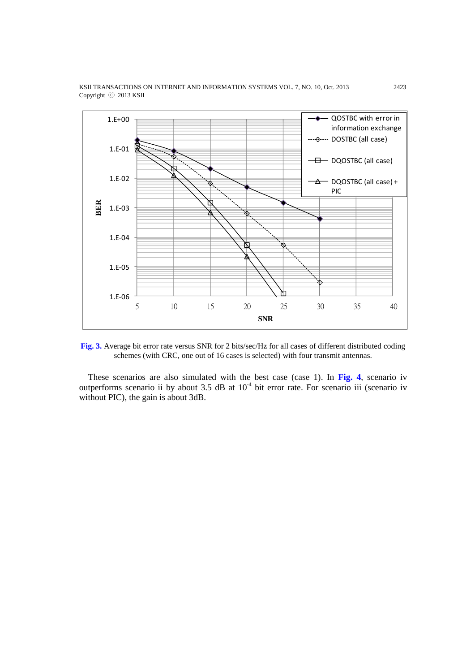

KSII TRANSACTIONS ON INTERNET AND INFORMATION SYSTEMS VOL. 7, NO. 10, Oct. 2013 2423 Copyright ⓒ 2013 KSII

**Fig. 3.** Average bit error rate versus SNR for 2 bits/sec/Hz for all cases of different distributed coding schemes (with CRC, one out of 16 cases is selected) with four transmit antennas.

These scenarios are also simulated with the best case (case 1). In **Fig. 4**, scenario iv outperforms scenario ii by about  $3.5$  dB at  $10^{-4}$  bit error rate. For scenario iii (scenario iv without PIC), the gain is about 3dB.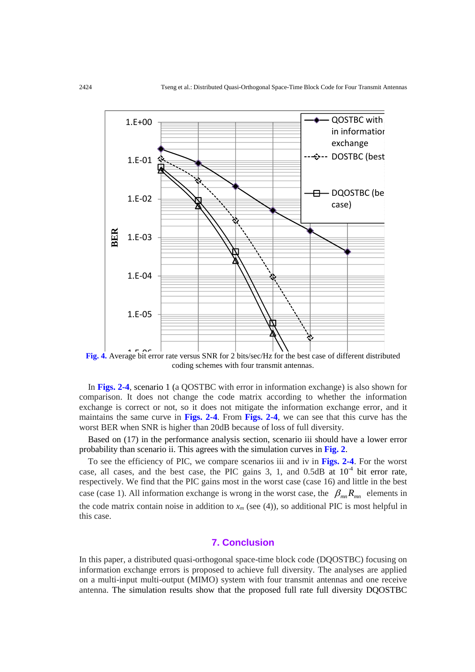

Fig. 4. Average bit error rate versus SNR for 2 bits/sec/Hz for the best case of different distributed coding schemes with four transmit antennas.

In **Figs. 2-4**, scenario 1 (a QOSTBC with error in information exchange) is also shown for comparison. It does not change the code matrix according to whether the information exchange is correct or not, so it does not mitigate the information exchange error, and it maintains the same curve in **Figs. 2-4**. From **Figs. 2-4**, we can see that this curve has the worst BER when SNR is higher than 20dB because of loss of full diversity.

Based on (17) in the performance analysis section, scenario iii should have a lower error probability than scenario ii. This agrees with the simulation curves in **Fig. 2**.

To see the efficiency of PIC, we compare scenarios iii and iv in **Figs. 2-4**. For the worst case, all cases, and the best case, the PIC gains 3, 1, and  $0.5dB$  at  $10^{-4}$  bit error rate, respectively. We find that the PIC gains most in the worst case (case 16) and little in the best case (case 1). All information exchange is wrong in the worst case, the  $\beta_{mn} R_{mn}$  elements in the code matrix contain noise in addition to  $x_m$  (see (4)), so additional PIC is most helpful in this case.

# **7. Conclusion**

In this paper, a distributed quasi-orthogonal space-time block code (DQOSTBC) focusing on information exchange errors is proposed to achieve full diversity. The analyses are applied on a multi-input multi-output (MIMO) system with four transmit antennas and one receive antenna. The simulation results show that the proposed full rate full diversity DQOSTBC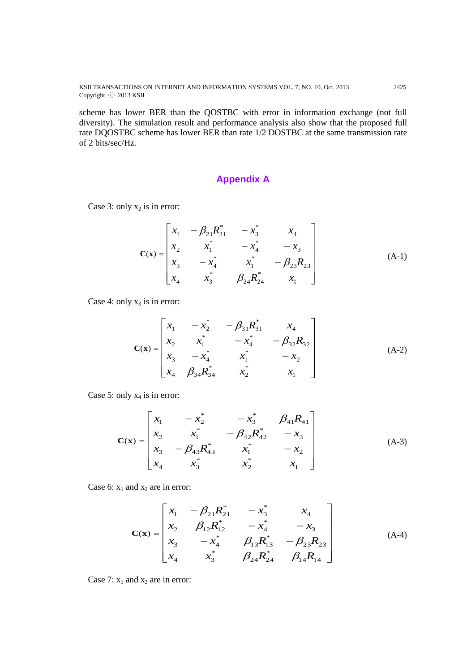KSII TRANSACTIONS ON INTERNET AND INFORMATION SYSTEMS VOL. 7, NO. 10, Oct. 2013 2425 Copyright ⓒ 2013 KSII

scheme has lower BER than the QOSTBC with error in information exchange (not full diversity). The simulation result and performance analysis also show that the proposed full rate DQOSTBC scheme has lower BER than rate 1/2 DOSTBC at the same transmission rate of 2 bits/sec/Hz.

# **Appendix A**

Case 3: only  $x_2$  is in error:

$$
\mathbf{C}(\mathbf{x}) = \begin{bmatrix} x_1 & -\beta_{21}R_{21}^* & -x_3^* & x_4 \\ x_2 & x_1^* & -x_4^* & -x_3 \\ x_3 & -x_4^* & x_1^* & -\beta_{23}R_{23} \\ x_4 & x_3^* & \beta_{24}R_{24}^* & x_1 \end{bmatrix}
$$
(A-1)

Case 4: only  $x_3$  is in error:

$$
\mathbf{C}(\mathbf{x}) = \begin{bmatrix} x_1 & -x_2^* & -\beta_{31}R_{31}^* & x_4 \\ x_2 & x_1^* & -x_4^* & -\beta_{32}R_{32} \\ x_3 & -x_4^* & x_1^* & -x_2 \\ x_4 & \beta_{34}R_{34}^* & x_2^* & x_1 \end{bmatrix}
$$
 (A-2)

Case 5: only  $x_4$  is in error:

$$
\mathbf{C}(\mathbf{x}) = \begin{bmatrix} x_1 & -x_2^* & -x_3^* & \beta_{41}R_{41} \\ x_2 & x_1^* & -\beta_{42}R_{42}^* & -x_3 \\ x_3 & -\beta_{43}R_{43}^* & x_1^* & -x_2 \\ x_4 & x_3^* & x_2^* & x_1 \end{bmatrix}
$$
(A-3)

Case 6:  $x_1$  and  $x_2$  are in error:

$$
\mathbf{C}(\mathbf{x}) = \begin{bmatrix} x_1 & -\beta_{21}R_{21}^* & -x_3^* & x_4 \\ x_2 & \beta_{12}R_{12}^* & -x_4^* & -x_3 \\ x_3 & -x_4^* & \beta_{13}R_{13}^* & -\beta_{23}R_{23} \\ x_4 & x_3^* & \beta_{24}R_{24}^* & \beta_{14}R_{14} \end{bmatrix}
$$
 (A-4)

Case 7:  $x_1$  and  $x_3$  are in error: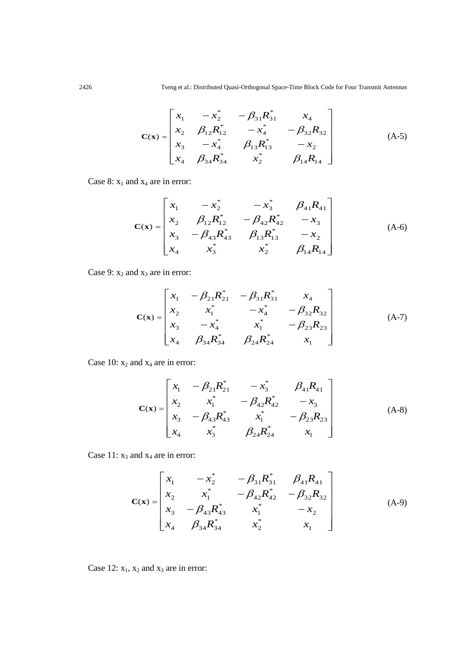$$
\mathbf{C}(\mathbf{x}) = \begin{bmatrix} x_1 & -x_2^* & -\beta_{31}R_{31}^* & x_4 \\ x_2 & \beta_{12}R_{12}^* & -x_4^* & -\beta_{32}R_{32} \\ x_3 & -x_4^* & \beta_{13}R_{13}^* & -x_2 \\ x_4 & \beta_{34}R_{34}^* & x_2^* & \beta_{14}R_{14} \end{bmatrix}
$$
 (A-5)

Case 8:  $x_1$  and  $x_4$  are in error:

$$
\mathbf{C}(\mathbf{x}) = \begin{bmatrix} x_1 & -x_2^* & -x_3^* & \beta_{41}R_{41} \\ x_2 & \beta_{12}R_{12}^* & -\beta_{42}R_{42}^* & -x_3 \\ x_3 & -\beta_{43}R_{43}^* & \beta_{13}R_{13}^* & -x_2 \\ x_4 & x_3^* & x_2^* & \beta_{14}R_{14} \end{bmatrix}
$$
 (A-6)

Case 9:  $x_2$  and  $x_3$  are in error:

$$
\mathbf{C}(\mathbf{x}) = \begin{bmatrix} x_1 & -\beta_{21}R_{21}^* & -\beta_{31}R_{31}^* & x_4 \\ x_2 & x_1^* & -x_4^* & -\beta_{32}R_{32} \\ x_3 & -x_4^* & x_1^* & -\beta_{23}R_{23} \\ x_4 & \beta_{34}R_{34}^* & \beta_{24}R_{24}^* & x_1 \end{bmatrix}
$$
 (A-7)

Case 10:  $x_2$  and  $x_4$  are in error:

$$
\mathbf{C}(\mathbf{x}) = \begin{bmatrix} x_1 & -\beta_{21}R_{21}^* & -x_3^* & \beta_{41}R_{41} \\ x_2 & x_1^* & -\beta_{42}R_{42}^* & -x_3 \\ x_3 & -\beta_{43}R_{43}^* & x_1^* & -\beta_{23}R_{23} \\ x_4 & x_3^* & \beta_{24}R_{24}^* & x_1 \end{bmatrix}
$$
 (A-8)

Case 11:  $x_3$  and  $x_4$  are in error:

$$
\mathbf{C}(\mathbf{x}) = \begin{bmatrix} x_1 & -x_2^* & -\beta_{31}R_{31}^* & \beta_{41}R_{41} \\ x_2 & x_1^* & -\beta_{42}R_{42}^* & -\beta_{32}R_{32} \\ x_3 & -\beta_{43}R_{43}^* & x_1^* & -x_2 \\ x_4 & \beta_{34}R_{34}^* & x_2^* & x_1 \end{bmatrix}
$$
 (A-9)

Case 12:  $x_1$ ,  $x_2$  and  $x_3$  are in error: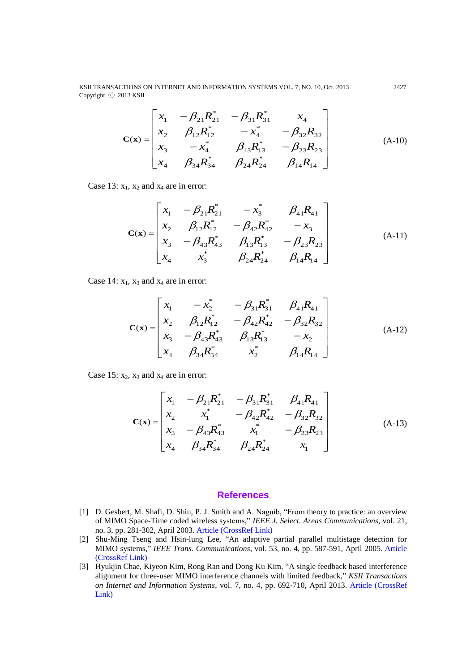KSII TRANSACTIONS ON INTERNET AND INFORMATION SYSTEMS VOL. 7, NO. 10, Oct. 2013 2427 Copyright ⓒ 2013 KSII

$$
\mathbf{C}(\mathbf{x}) = \begin{bmatrix} x_1 & -\beta_{21}R_{21}^* & -\beta_{31}R_{31}^* & x_4 \\ x_2 & \beta_{12}R_{12}^* & -x_4^* & -\beta_{32}R_{32} \\ x_3 & -x_4^* & \beta_{13}R_{13}^* & -\beta_{23}R_{23} \\ x_4 & \beta_{34}R_{34}^* & \beta_{24}R_{24}^* & \beta_{14}R_{14} \end{bmatrix}
$$
 (A-10)

Case 13:  $x_1$ ,  $x_2$  and  $x_4$  are in error:

$$
\mathbf{C}(\mathbf{x}) = \begin{bmatrix} x_1 & -\beta_{21}R_{21}^* & -x_3^* & \beta_{41}R_{41} \\ x_2 & \beta_{12}R_{12}^* & -\beta_{42}R_{42}^* & -x_3 \\ x_3 & -\beta_{43}R_{43}^* & \beta_{13}R_{13}^* & -\beta_{23}R_{23} \\ x_4 & x_3^* & \beta_{24}R_{24}^* & \beta_{14}R_{14} \end{bmatrix}
$$
 (A-11)

Case 14:  $x_1$ ,  $x_3$  and  $x_4$  are in error:

$$
\mathbf{C}(\mathbf{x}) = \begin{bmatrix} x_1 & -x_2^* & -\beta_{31}R_{31}^* & \beta_{41}R_{41} \\ x_2 & \beta_{12}R_{12}^* & -\beta_{42}R_{42}^* & -\beta_{32}R_{32} \\ x_3 & -\beta_{43}R_{43}^* & \beta_{13}R_{13}^* & -x_2 \\ x_4 & \beta_{34}R_{34}^* & x_2^* & \beta_{14}R_{14} \end{bmatrix}
$$
 (A-12)

Case 15:  $x_2$ ,  $x_3$  and  $x_4$  are in error:

$$
\mathbf{C}(\mathbf{x}) = \begin{bmatrix} x_1 & -\beta_{21}R_{21}^* & -\beta_{31}R_{31}^* & \beta_{41}R_{41} \\ x_2 & x_1^* & -\beta_{42}R_{42}^* & -\beta_{32}R_{32} \\ x_3 & -\beta_{43}R_{43}^* & x_1^* & -\beta_{23}R_{23} \\ x_4 & \beta_{34}R_{34}^* & \beta_{24}R_{24}^* & x_1 \end{bmatrix}
$$
 (A-13)

#### **References**

- [1] D. Gesbert, M. Shafi, D. Shiu, P. J. Smith and A. Naguib, "From theory to practice: an overview of MIMO Space-Time coded wireless systems," *IEEE J. Select. Areas Communications*, vol. 21, no. 3, pp. 281-302, April 2003. [Article \(CrossRef Link\)](http://dx.doi.org/10.1109/JSAC.2003.809458)
- [2] Shu-Ming Tseng and Hsin-lung Lee, "An adaptive partial parallel multistage detection for MIMO systems," *IEEE Trans. Communications*, vol. 53, no. 4, pp. 587-591, April 2005. [Article](http://dx.doi.org/10.1109/TCOMM.2005.844970)  [\(CrossRef Link\)](http://dx.doi.org/10.1109/TCOMM.2005.844970)
- [3] Hyukjin Chae, Kiyeon Kim, Rong Ran and Dong Ku Kim, "A single feedback based interference alignment for three-user MIMO interference channels with limited feedback," *KSII Transactions on Internet and Information Systems*, vol. 7, no. 4, pp. 692-710, April 2013. [Article \(CrossRef](http://dx.doi.org/10.3837/tiis.2013.04.005)  [Link\)](http://dx.doi.org/10.3837/tiis.2013.04.005)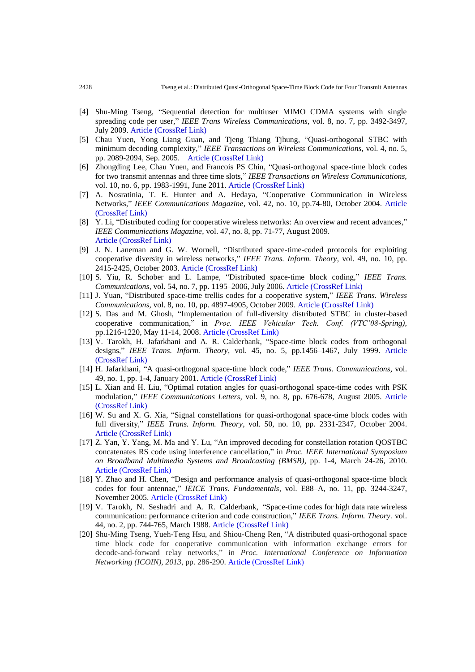- [4] Shu-Ming Tseng, "Sequential detection for multiuser MIMO CDMA systems with single spreading code per user," *IEEE Trans Wireless Communications*, vol. 8, no. 7, pp. 3492-3497, July 2009. [Article \(CrossRef Link\)](http://dx.doi.org/10.1109/TWC.2009.070297)
- [5] Chau Yuen, Yong Liang Guan, and Tjeng Thiang Tjhung, "Quasi-orthogonal STBC with minimum decoding complexity," *IEEE Transactions on Wireless Communications,* vol. 4, no. 5, pp. 2089-2094, Sep. 2005. [Article \(CrossRef Link\)](http://dx.doi.org/10.1109/TWC.2005.853890)
- [6] Zhongding Lee, Chau Yuen, and Francois PS Chin, "Quasi-orthogonal space-time block codes for two transmit antennas and three time slots," *IEEE Transactions on Wireless Communications,* vol. 10, no. 6, pp. 1983-1991, June 2011. [Article \(CrossRef Link\)](http://dx.doi.org/10.1109/TWC.2011.032411.101636)
- [7] A. Nosratinia, T. E. Hunter and A. Hedaya, "Cooperative Communication in Wireless Networks," *IEEE Communications Magazine,* vol. 42, no. 10, pp.74-80, October 2004. [Article](http://dx.doi.org/10.1109/MCOM.2004.1341264)  [\(CrossRef Link\)](http://dx.doi.org/10.1109/MCOM.2004.1341264)
- [8] Y. Li, "Distributed coding for cooperative wireless networks: An overview and recent advances," *IEEE Communications Magazine,* vol. 47, no. 8, pp. 71-77, August 2009. [Article \(CrossRef Link\)](http://dx.doi.org/10.1109/MCOM.2009.5181895)
- [9] J. N. Laneman and G. W. Wornell, "Distributed space-time-coded protocols for exploiting cooperative diversity in wireless networks," *IEEE Trans. Inform. Theory,* vol. 49, no. 10, pp. 2415-2425, October 2003. [Article \(CrossRef Link\)](http://dx.doi.org/10.1109/TIT.2003.817829)
- [10] S. Yiu, R. Schober and L. Lampe, "Distributed space-time block coding," *IEEE Trans. Communications,* vol. 54, no. 7, pp. 1195–2006, July 2006. [Article \(CrossRef Link\)](http://dx.doi.org/10.1109/TCOMM.2006.877947)
- [11] J. Yuan, "Distributed space-time trellis codes for a cooperative system," *IEEE Trans. Wireless Communications*, vol. 8, no. 10, pp. 4897-4905, October 2009. [Article \(CrossRef Link\)](http://dx.doi.org/10.1109/TWC.2009.080779)
- [12] S. Das and M. Ghosh, "Implementation of full-diversity distributed STBC in cluster-based cooperative communication," in *Proc. IEEE Vehicular Tech. Conf. (VTC'08-Spring),*  pp.1216-1220, May 11-14, 2008. [Article \(CrossRef Link\)](http://dx.doi.org/10.1109/VETECS.2008.257)
- [13] V. Tarokh, H. Jafarkhani and A. R. Calderbank, "Space-time block codes from orthogonal designs," *IEEE Trans. Inform. Theory*, vol. 45, no. 5, pp.1456–1467, July 1999. [Article](http://dx.doi.org/10.1109/18.771146)  [\(CrossRef Link\)](http://dx.doi.org/10.1109/18.771146)
- [14] H. Jafarkhani, "A quasi-orthogonal space-time block code," *IEEE Trans. Communications*, vol. 49, no. 1, pp. 1-4, January 2001. [Article \(CrossRef Link\)](http://dx.doi.org/10.1109/26.898239)
- [15] L. Xian and H. Liu, "Optimal rotation angles for quasi-orthogonal space-time codes with PSK modulation," *IEEE Communications Letters,* vol. 9, no. 8, pp. 676-678, August 2005. [Article](http://dx.doi.org/10.1109/LCOMM.2005.1496579)  [\(CrossRef Link\)](http://dx.doi.org/10.1109/LCOMM.2005.1496579)
- [16] W. Su and X. G. Xia, "Signal constellations for quasi-orthogonal space-time block codes with full diversity," *IEEE Trans. Inform. Theory,* vol. 50, no. 10, pp. 2331-2347, October 2004. [Article \(CrossRef Link\)](http://dx.doi.org/10.1109/TIT.2004.834740)
- [17] Z. Yan, Y. Yang, M. Ma and Y. Lu, "An improved decoding for constellation rotation QOSTBC concatenates RS code using interference cancellation," in *Proc. IEEE International Symposium on Broadband Multimedia Systems and Broadcasting (BMSB),* pp. 1-4, March 24-26, 2010. [Article \(CrossRef Link\)](http://dx.doi.org/10.1109/ISBMSB.2010.5463121)
- [18] Y. Zhao and H. Chen, "Design and performance analysis of quasi-orthogonal space-time block codes for four antennae," *IEICE Trans. Fundamentals,* vol. E88–A, no. 11, pp. 3244-3247, November 2005. [Article \(CrossRef Link\)](http://dx.doi.org/10.1093/ietfec/e88-a.11.3244)
- [19] V. Tarokh, N. Seshadri and A. R. Calderbank, ["Space-time](http://ieeexplore.ieee.org/search/srchabstract.jsp?tp=&arnumber=661517&openedRefinements%3D*%26filter%3DAND%28NOT%284283010803%29%29%26matchBoolean%3Dtrue%26searchField%3DSearch+All%26queryText%3D%28Space%E2%80%93Time+Codes+for+High+Data+Rate+Wireless+Communication%3A+Performance+Criterion+and+Code+Construction%29) codes for high data rate wireless [communication:](http://ieeexplore.ieee.org/search/srchabstract.jsp?tp=&arnumber=661517&openedRefinements%3D*%26filter%3DAND%28NOT%284283010803%29%29%26matchBoolean%3Dtrue%26searchField%3DSearch+All%26queryText%3D%28Space%E2%80%93Time+Codes+for+High+Data+Rate+Wireless+Communication%3A+Performance+Criterion+and+Code+Construction%29) performance criterion and code construction," *IEEE Trans. Inform. Theory.* vol. 44, no. 2, pp. 744-765, March 1988. [Article \(CrossRef Link\)](http://dx.doi.org/10.1109/18.661517)
- [20] Shu-Ming Tseng, Yueh-Teng Hsu, and Shiou-Cheng Ren, "A distributed quasi-orthogonal space time block code for cooperative communication with information exchange errors for decode-and-forward relay networks," in *Proc. International Conference on Information Networking (ICOIN), 2013*, pp. 286-290. [Article \(CrossRef Link\)](http://dx.doi.org/10.1109/ICOIN.2013.6496391)